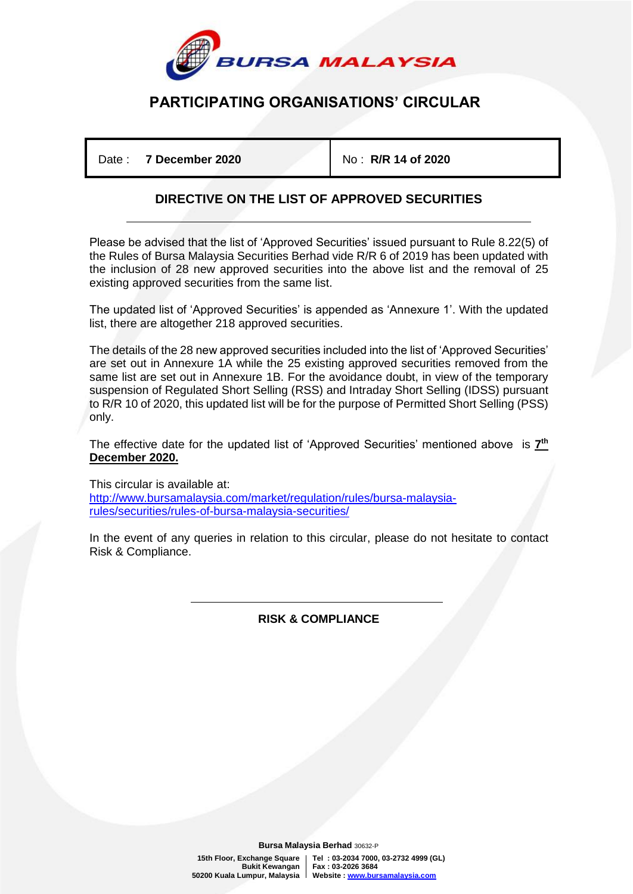

## **PARTICIPATING ORGANISATIONS' CIRCULAR**

Date : **7 December 2020** No : **R/R 14 of 2020**

## **DIRECTIVE ON THE LIST OF APPROVED SECURITIES**

Please be advised that the list of 'Approved Securities' issued pursuant to Rule 8.22(5) of the Rules of Bursa Malaysia Securities Berhad vide R/R 6 of 2019 has been updated with the inclusion of 28 new approved securities into the above list and the removal of 25 existing approved securities from the same list.

The updated list of 'Approved Securities' is appended as 'Annexure 1'. With the updated list, there are altogether 218 approved securities.

The details of the 28 new approved securities included into the list of 'Approved Securities' are set out in Annexure 1A while the 25 existing approved securities removed from the same list are set out in Annexure 1B. For the avoidance doubt, in view of the temporary suspension of Regulated Short Selling (RSS) and Intraday Short Selling (IDSS) pursuant to R/R 10 of 2020, this updated list will be for the purpose of Permitted Short Selling (PSS) only.

The effective date for the updated list of 'Approved Securities' mentioned above is **7 th December 2020.**

This circular is available at: [http://www.bursamalaysia.com/market/regulation/rules/bursa-malaysia](https://www.bursamalaysia.com/regulation/securities/rules_of_bursa_malaysia_securities)[rules/securities/rules-of-bursa-malaysia-securities/](https://www.bursamalaysia.com/regulation/securities/rules_of_bursa_malaysia_securities)

In the event of any queries in relation to this circular, please do not hesitate to contact Risk & Compliance.

> İ **RISK & COMPLIANCE**

 **Bursa Malaysia Berhad** 30632-P

**15th Floor, Exchange Square Tel : 03-2034 7000, 03-2732 4999 (GL) Bukit Kewangan Fax : 03-2026 3684 50200 Kuala Lumpur, Malaysia Website [: www.bursamalaysia.com](http://www.bursamalaysia.com/)**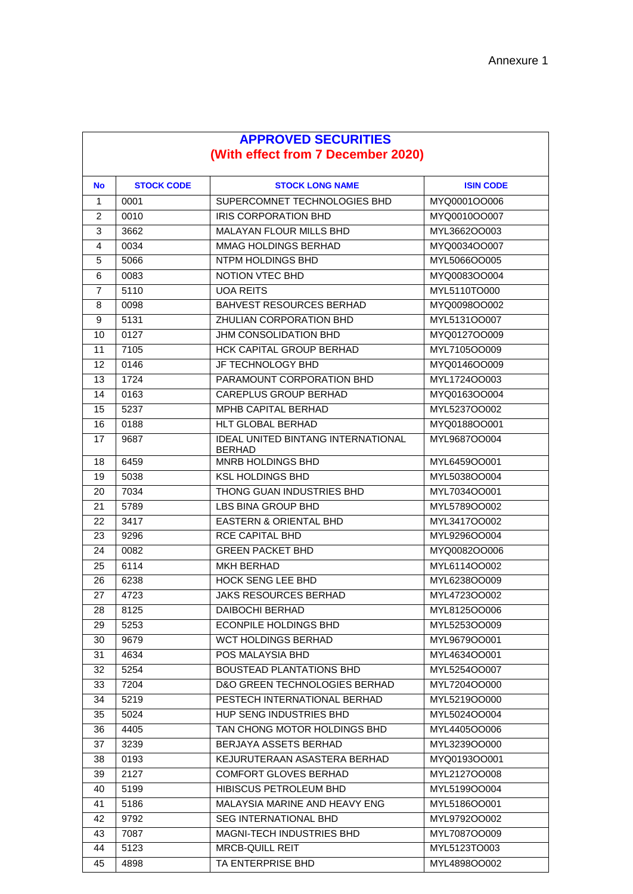| <b>APPROVED SECURITIES</b>         |                   |                                           |                  |  |
|------------------------------------|-------------------|-------------------------------------------|------------------|--|
| (With effect from 7 December 2020) |                   |                                           |                  |  |
| <b>No</b>                          | <b>STOCK CODE</b> | <b>STOCK LONG NAME</b>                    | <b>ISIN CODE</b> |  |
| 1                                  | 0001              | SUPERCOMNET TECHNOLOGIES BHD              | MYQ0001OO006     |  |
| 2                                  | 0010              | <b>IRIS CORPORATION BHD</b>               | MYQ0010OO007     |  |
| 3                                  | 3662              | <b>MALAYAN FLOUR MILLS BHD</b>            | MYL3662OO003     |  |
| 4                                  | 0034              | MMAG HOLDINGS BERHAD                      | MYQ0034OO007     |  |
| 5                                  | 5066              | NTPM HOLDINGS BHD                         | MYL5066OO005     |  |
| 6                                  | 0083              | <b>NOTION VTEC BHD</b>                    | MYQ0083OO004     |  |
| 7                                  | 5110              | <b>UOA REITS</b>                          | MYL5110TO000     |  |
| 8                                  | 0098              | <b>BAHVEST RESOURCES BERHAD</b>           | MYQ0098OO002     |  |
| 9                                  | 5131              | ZHULIAN CORPORATION BHD                   | MYL5131OO007     |  |
| 10                                 | 0127              | JHM CONSOLIDATION BHD                     | MYQ0127OO009     |  |
| 11                                 | 7105              | <b>HCK CAPITAL GROUP BERHAD</b>           | MYL7105OO009     |  |
| 12                                 | 0146              | JF TECHNOLOGY BHD                         | MYQ0146OO009     |  |
| 13                                 | 1724              | PARAMOUNT CORPORATION BHD                 | MYL1724OO003     |  |
| 14                                 | 0163              | CAREPLUS GROUP BERHAD                     | MYQ0163OO004     |  |
| 15                                 | 5237              | MPHB CAPITAL BERHAD                       | MYL5237OO002     |  |
| 16                                 | 0188              | HLT GLOBAL BERHAD                         | MYQ0188OO001     |  |
|                                    |                   | <b>IDEAL UNITED BINTANG INTERNATIONAL</b> | MYL9687OO004     |  |
| 17                                 | 9687              | <b>BERHAD</b>                             |                  |  |
| 18                                 | 6459              | MNRB HOLDINGS BHD                         | MYL6459OO001     |  |
| 19                                 | 5038              | <b>KSL HOLDINGS BHD</b>                   | MYL5038OO004     |  |
| 20                                 | 7034              | THONG GUAN INDUSTRIES BHD                 | MYL7034OO001     |  |
| 21                                 | 5789              | LBS BINA GROUP BHD                        | MYL5789OO002     |  |
| 22                                 | 3417              | <b>EASTERN &amp; ORIENTAL BHD</b>         | MYL3417OO002     |  |
| 23                                 | 9296              | <b>RCE CAPITAL BHD</b>                    | MYL9296OO004     |  |
| 24                                 | 0082              | <b>GREEN PACKET BHD</b>                   | MYQ0082OO006     |  |
| 25                                 | 6114              | <b>MKH BERHAD</b>                         | MYL6114OO002     |  |
| 26                                 | 6238              | <b>HOCK SENG LEE BHD</b>                  | MYL6238OO009     |  |
| 27                                 | 4723              | <b>JAKS RESOURCES BERHAD</b>              | MYL4723OO002     |  |
| 28                                 | 8125              | DAIBOCHI BERHAD                           | MYL8125OO006     |  |
| 29                                 | 5253              | <b>ECONPILE HOLDINGS BHD</b>              | MYL5253OO009     |  |
| 30                                 | 9679              | <b>WCT HOLDINGS BERHAD</b>                | MYL9679OO001     |  |
| 31                                 | 4634              | POS MALAYSIA BHD                          | MYL4634OO001     |  |
| 32                                 | 5254              | <b>BOUSTEAD PLANTATIONS BHD</b>           | MYL5254OO007     |  |
| 33                                 | 7204              | D&O GREEN TECHNOLOGIES BERHAD             | MYL7204OO000     |  |
| 34                                 | 5219              | PESTECH INTERNATIONAL BERHAD              | MYL5219OO000     |  |
| 35                                 | 5024              | HUP SENG INDUSTRIES BHD                   | MYL5024OO004     |  |
| 36                                 | 4405              | TAN CHONG MOTOR HOLDINGS BHD              | MYL4405OO006     |  |
| 37                                 | 3239              | BERJAYA ASSETS BERHAD                     | MYL3239OO000     |  |
| 38                                 | 0193              | KEJURUTERAAN ASASTERA BERHAD              | MYQ0193OO001     |  |
| 39                                 | 2127              | <b>COMFORT GLOVES BERHAD</b>              | MYL2127OO008     |  |
| 40                                 | 5199              | HIBISCUS PETROLEUM BHD                    | MYL5199OO004     |  |
| 41                                 | 5186              | MALAYSIA MARINE AND HEAVY ENG             | MYL5186OO001     |  |
| 42                                 | 9792              | <b>SEG INTERNATIONAL BHD</b>              | MYL9792OO002     |  |
| 43                                 | 7087              | MAGNI-TECH INDUSTRIES BHD                 | MYL7087OO009     |  |
| 44                                 | 5123              | MRCB-QUILL REIT                           | MYL5123TO003     |  |
| 45                                 | 4898              | TA ENTERPRISE BHD                         | MYL4898OO002     |  |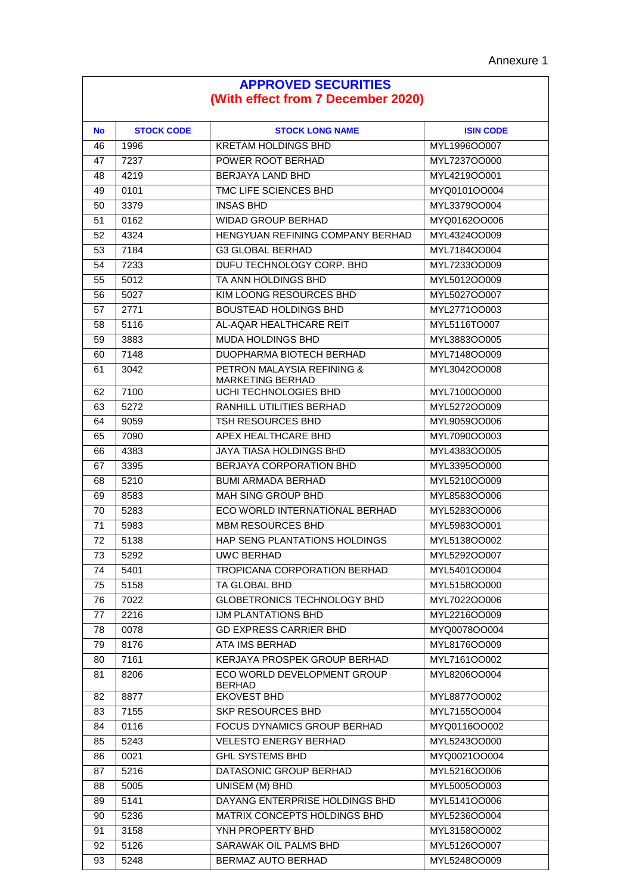$\overline{\phantom{a}}$ 

| <b>APPROVED SECURITIES</b>         |                   |                                                |                  |
|------------------------------------|-------------------|------------------------------------------------|------------------|
| (With effect from 7 December 2020) |                   |                                                |                  |
| <b>No</b>                          | <b>STOCK CODE</b> | <b>STOCK LONG NAME</b>                         | <b>ISIN CODE</b> |
| 46                                 | 1996              | <b>KRETAM HOLDINGS BHD</b>                     | MYL1996OO007     |
| 47                                 | 7237              | POWER ROOT BERHAD                              | MYL7237OO000     |
| 48                                 | 4219              | <b>BERJAYA LAND BHD</b>                        | MYL4219OO001     |
| 49                                 | 0101              | TMC LIFE SCIENCES BHD                          | MYQ0101OO004     |
| 50                                 | 3379              | <b>INSAS BHD</b>                               | MYL3379OO004     |
| 51                                 | 0162              | <b>WIDAD GROUP BERHAD</b>                      | MYQ0162OO006     |
| 52                                 | 4324              | HENGYUAN REFINING COMPANY BERHAD               | MYL4324OO009     |
| 53                                 | 7184              | <b>G3 GLOBAL BERHAD</b>                        | MYL7184OO004     |
| 54                                 | 7233              | DUFU TECHNOLOGY CORP. BHD                      | MYL7233OO009     |
| 55                                 | 5012              | TA ANN HOLDINGS BHD                            | MYL5012OO009     |
| 56                                 | 5027              | KIM LOONG RESOURCES BHD                        | MYL5027OO007     |
| 57                                 | 2771              | <b>BOUSTEAD HOLDINGS BHD</b>                   | MYL2771OO003     |
| 58                                 | 5116              | AL-AQAR HEALTHCARE REIT                        | MYL5116TO007     |
| 59                                 | 3883              | MUDA HOLDINGS BHD                              | MYL3883OO005     |
| 60                                 | 7148              | DUOPHARMA BIOTECH BERHAD                       | MYL7148OO009     |
| 61                                 | 3042              | PETRON MALAYSIA REFINING &<br>MARKETING BERHAD | MYL3042OO008     |
| 62                                 | 7100              | UCHI TECHNOLOGIES BHD                          | MYL7100OO000     |
| 63                                 | 5272              | RANHILL UTILITIES BERHAD                       | MYL5272OO009     |
| 64                                 | 9059              | TSH RESOURCES BHD                              | MYL9059OO006     |
| 65                                 | 7090              | APEX HEALTHCARE BHD                            | MYL7090OO003     |
| 66                                 | 4383              | JAYA TIASA HOLDINGS BHD                        | MYL4383OO005     |
| 67                                 | 3395              | <b>BERJAYA CORPORATION BHD</b>                 | MYL3395OO000     |
| 68                                 | 5210              | <b>BUMI ARMADA BERHAD</b>                      | MYL5210OO009     |
| 69                                 | 8583              | <b>MAH SING GROUP BHD</b>                      | MYL8583OO006     |
| 70                                 | 5283              | ECO WORLD INTERNATIONAL BERHAD                 | MYL5283OO006     |
| 71                                 | 5983              | <b>MBM RESOURCES BHD</b>                       | MYL5983OO001     |
| 72                                 | 5138              | HAP SENG PLANTATIONS HOLDINGS                  | MYL5138OO002     |
| 73                                 | 5292              | UWC BERHAD                                     | MYL5292OO007     |
| 74                                 | 5401              | TROPICANA CORPORATION BERHAD                   | MYL5401OO004     |
| 75                                 | 5158              | TA GLOBAL BHD                                  | MYL5158OO000     |
| 76                                 | 7022              | <b>GLOBETRONICS TECHNOLOGY BHD</b>             | MYL7022OO006     |
| 77                                 | 2216              | IJM PLANTATIONS BHD                            | MYL2216OO009     |
| 78                                 | 0078              | <b>GD EXPRESS CARRIER BHD</b>                  | MYQ0078OO004     |
| 79                                 | 8176              | ATA IMS BERHAD                                 | MYL8176OO009     |
| 80                                 | 7161              | KERJAYA PROSPEK GROUP BERHAD                   | MYL7161OO002     |
| 81                                 | 8206              | ECO WORLD DEVELOPMENT GROUP<br><b>BERHAD</b>   | MYL8206OO004     |
| 82                                 | 8877              | <b>EKOVEST BHD</b>                             | MYL8877OO002     |
| 83                                 | 7155              | SKP RESOURCES BHD                              | MYL7155OO004     |
| 84                                 | 0116              | FOCUS DYNAMICS GROUP BERHAD                    | MYQ0116OO002     |
| 85                                 | 5243              | <b>VELESTO ENERGY BERHAD</b>                   | MYL5243OO000     |
| 86                                 | 0021              | <b>GHL SYSTEMS BHD</b>                         | MYQ0021OO004     |
| 87                                 | 5216              | DATASONIC GROUP BERHAD                         | MYL5216OO006     |
| 88                                 | 5005              | UNISEM (M) BHD                                 | MYL5005OO003     |
| 89                                 | 5141              | DAYANG ENTERPRISE HOLDINGS BHD                 | MYL5141OO006     |
| 90                                 | 5236              | MATRIX CONCEPTS HOLDINGS BHD                   | MYL5236OO004     |
| 91                                 | 3158              | YNH PROPERTY BHD                               | MYL3158OO002     |
| 92                                 | 5126              | SARAWAK OIL PALMS BHD                          | MYL5126OO007     |
| 93                                 | 5248              | BERMAZ AUTO BERHAD                             | MYL5248OO009     |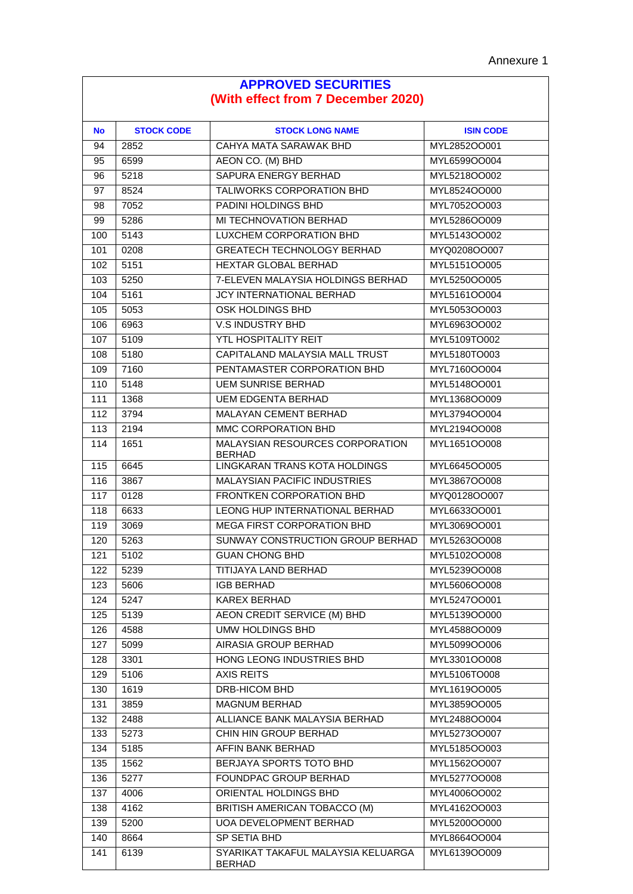| <b>APPROVED SECURITIES</b><br>(With effect from 7 December 2020) |                   |                                                     |                  |
|------------------------------------------------------------------|-------------------|-----------------------------------------------------|------------------|
|                                                                  |                   |                                                     |                  |
| <b>No</b>                                                        | <b>STOCK CODE</b> | <b>STOCK LONG NAME</b>                              | <b>ISIN CODE</b> |
| 94                                                               | 2852              | CAHYA MATA SARAWAK BHD                              | MYL2852OO001     |
| 95                                                               | 6599              | AEON CO. (M) BHD                                    |                  |
| 96                                                               | 5218              | SAPURA ENERGY BERHAD                                | MYL5218OO002     |
| 97                                                               | 8524              | TALIWORKS CORPORATION BHD                           | MYL8524OO000     |
| 98                                                               | 7052              | PADINI HOLDINGS BHD                                 | MYL7052OO003     |
| 99                                                               | 5286              | MI TECHNOVATION BERHAD                              | MYL5286OO009     |
| 100                                                              | 5143              | LUXCHEM CORPORATION BHD                             | MYL5143OO002     |
| 101                                                              | 0208              | <b>GREATECH TECHNOLOGY BERHAD</b>                   | MYQ0208OO007     |
| 102                                                              | 5151              | <b>HEXTAR GLOBAL BERHAD</b>                         | MYL5151OO005     |
| 103                                                              | 5250              | 7-ELEVEN MALAYSIA HOLDINGS BERHAD                   | MYL5250OO005     |
| 104                                                              | 5161              | JCY INTERNATIONAL BERHAD                            | MYL5161OO004     |
| 105                                                              | 5053              | OSK HOLDINGS BHD                                    | MYL5053OO003     |
| 106                                                              | 6963              | <b>V.S INDUSTRY BHD</b>                             | MYL6963OO002     |
| 107                                                              | 5109              | YTL HOSPITALITY REIT                                | MYL5109TO002     |
| 108                                                              | 5180              | CAPITALAND MALAYSIA MALL TRUST                      | MYL5180TO003     |
| 109                                                              | 7160              | PENTAMASTER CORPORATION BHD                         | MYL7160OO004     |
| 110                                                              | 5148              | <b>UEM SUNRISE BERHAD</b>                           | MYL5148OO001     |
| 111                                                              | 1368              | <b>UEM EDGENTA BERHAD</b>                           | MYL1368OO009     |
| 112                                                              | 3794              | MALAYAN CEMENT BERHAD                               | MYL3794OO004     |
| 113                                                              | 2194              | MMC CORPORATION BHD                                 | MYL2194OO008     |
| 114                                                              | 1651              | MALAYSIAN RESOURCES CORPORATION<br><b>BERHAD</b>    | MYL1651OO008     |
| 115                                                              | 6645              | LINGKARAN TRANS KOTA HOLDINGS                       | MYL6645OO005     |
| 116                                                              | 3867              | <b>MALAYSIAN PACIFIC INDUSTRIES</b>                 | MYL3867OO008     |
| 117                                                              | 0128              | FRONTKEN CORPORATION BHD                            | MYQ0128OO007     |
| 118                                                              | 6633              | LEONG HUP INTERNATIONAL BERHAD                      | MYL6633OO001     |
| 119                                                              | 3069              | <b>MEGA FIRST CORPORATION BHD</b>                   | MYL3069OO001     |
| 120                                                              | 5263              | SUNWAY CONSTRUCTION GROUP BERHAD                    | MYL5263OO008     |
| 121                                                              | 5102              | <b>GUAN CHONG BHD</b>                               | MYL5102OO008     |
| 122                                                              | 5239              | TITIJAYA LAND BERHAD                                | MYL5239OO008     |
| 123                                                              | 5606              | <b>IGB BERHAD</b>                                   | MYL5606OO008     |
| 124                                                              | 5247              | KAREX BERHAD                                        | MYL5247OO001     |
| 125                                                              | 5139              | AEON CREDIT SERVICE (M) BHD                         | MYL5139OO000     |
| 126                                                              | 4588              | <b>UMW HOLDINGS BHD</b>                             | MYL4588OO009     |
| 127                                                              | 5099              | AIRASIA GROUP BERHAD                                | MYL5099OO006     |
| 128                                                              | 3301              | HONG LEONG INDUSTRIES BHD                           | MYL3301OO008     |
| 129                                                              | 5106              | <b>AXIS REITS</b>                                   | MYL5106TO008     |
| 130                                                              | 1619              | <b>DRB-HICOM BHD</b>                                | MYL1619OO005     |
| 131                                                              | 3859              | <b>MAGNUM BERHAD</b>                                | MYL3859OO005     |
| 132                                                              | 2488              | ALLIANCE BANK MALAYSIA BERHAD                       | MYL2488OO004     |
| 133                                                              | 5273              | CHIN HIN GROUP BERHAD                               | MYL5273OO007     |
| 134                                                              | 5185              | AFFIN BANK BERHAD                                   | MYL5185OO003     |
| 135                                                              | 1562              | BERJAYA SPORTS TOTO BHD                             | MYL1562OO007     |
| 136                                                              | 5277              | FOUNDPAC GROUP BERHAD                               | MYL5277OO008     |
| 137                                                              | 4006              | ORIENTAL HOLDINGS BHD                               | MYL4006OO002     |
| 138                                                              | 4162              | BRITISH AMERICAN TOBACCO (M)                        | MYL4162OO003     |
| 139                                                              | 5200              | UOA DEVELOPMENT BERHAD                              | MYL5200OO000     |
| 140                                                              | 8664              | SP SETIA BHD                                        | MYL8664OO004     |
| 141                                                              | 6139              | SYARIKAT TAKAFUL MALAYSIA KELUARGA<br><b>BERHAD</b> | MYL6139OO009     |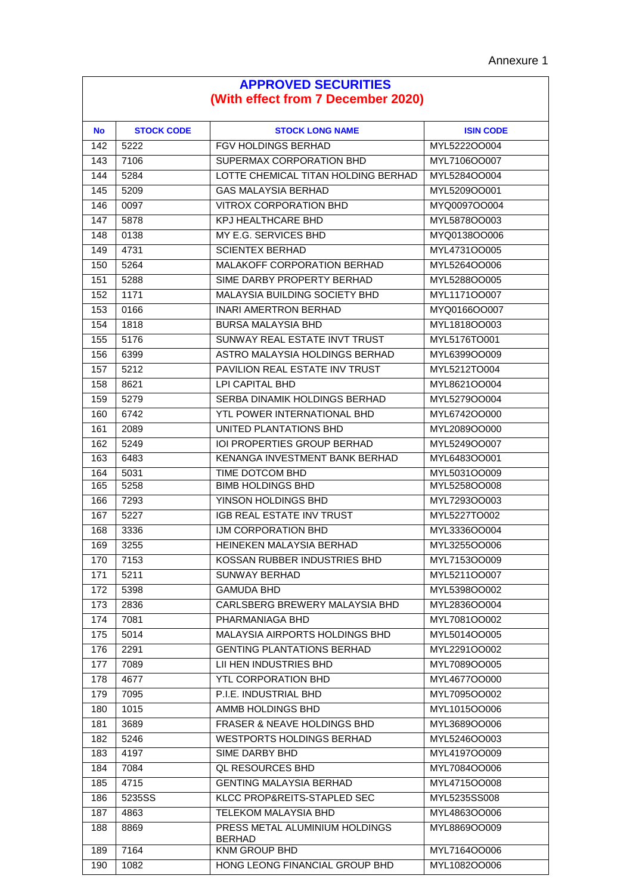| <b>APPROVED SECURITIES</b><br>(With effect from 7 December 2020) |                   |                                                 |                  |
|------------------------------------------------------------------|-------------------|-------------------------------------------------|------------------|
| <b>No</b>                                                        | <b>STOCK CODE</b> | <b>STOCK LONG NAME</b>                          | <b>ISIN CODE</b> |
| 142                                                              | 5222              | <b>FGV HOLDINGS BERHAD</b>                      | MYL5222OO004     |
| 143                                                              | 7106              | SUPERMAX CORPORATION BHD                        | MYL7106OO007     |
| 144                                                              | 5284              | LOTTE CHEMICAL TITAN HOLDING BERHAD             | MYL5284OO004     |
| 145                                                              | 5209              | <b>GAS MALAYSIA BERHAD</b>                      | MYL5209OO001     |
| 146                                                              | 0097              | <b>VITROX CORPORATION BHD</b>                   | MYQ0097OO004     |
| 147                                                              | 5878              | KPJ HEALTHCARE BHD                              | MYL5878OO003     |
| 148                                                              | 0138              | MY E.G. SERVICES BHD                            | MYQ0138OO006     |
| 149                                                              | 4731              | <b>SCIENTEX BERHAD</b>                          | MYL4731OO005     |
| 150                                                              | 5264              | <b>MALAKOFF CORPORATION BERHAD</b>              | MYL5264OO006     |
| 151                                                              | 5288              | SIME DARBY PROPERTY BERHAD                      | MYL5288OO005     |
| 152                                                              | 1171              | <b>MALAYSIA BUILDING SOCIETY BHD</b>            | MYL1171OO007     |
| 153                                                              | 0166              | <b>INARI AMERTRON BERHAD</b>                    | MYQ0166OO007     |
| 154                                                              | 1818              | <b>BURSA MALAYSIA BHD</b>                       | MYL1818OO003     |
| 155                                                              | 5176              | SUNWAY REAL ESTATE INVT TRUST                   | MYL5176TO001     |
| 156                                                              | 6399              | ASTRO MALAYSIA HOLDINGS BERHAD                  | MYL6399OO009     |
| 157                                                              | 5212              | PAVILION REAL ESTATE INV TRUST                  | MYL5212TO004     |
| 158                                                              | 8621              | <b>LPI CAPITAL BHD</b>                          | MYL8621OO004     |
| 159                                                              | 5279              | SERBA DINAMIK HOLDINGS BERHAD                   | MYL5279OO004     |
| 160                                                              | 6742              | YTL POWER INTERNATIONAL BHD                     | MYL6742OO000     |
| 161                                                              | 2089              | UNITED PLANTATIONS BHD                          | MYL2089OO000     |
| 162                                                              | 5249              | IOI PROPERTIES GROUP BERHAD                     | MYL5249OO007     |
| 163                                                              | 6483              | KENANGA INVESTMENT BANK BERHAD                  | MYL6483OO001     |
| 164                                                              | 5031              | TIME DOTCOM BHD                                 | MYL5031OO009     |
| 165                                                              | 5258              | <b>BIMB HOLDINGS BHD</b>                        | MYL5258OO008     |
| 166                                                              | 7293              | YINSON HOLDINGS BHD                             | MYL7293OO003     |
| 167                                                              | 5227              | <b>IGB REAL ESTATE INV TRUST</b>                | MYL5227TO002     |
| 168                                                              | 3336              | IJM CORPORATION BHD                             | MYL3336OO004     |
| 169                                                              | 3255              | HEINEKEN MALAYSIA BERHAD                        | MYL3255OO006     |
| 170                                                              | 7153              | KOSSAN RUBBER INDUSTRIES BHD                    | MYL7153OO009     |
| 171                                                              | 5211              | <b>SUNWAY BERHAD</b>                            | MYL5211OO007     |
| 172                                                              | 5398              | <b>GAMUDA BHD</b>                               | MYL5398OO002     |
| 173                                                              | 2836              | CARLSBERG BREWERY MALAYSIA BHD                  | MYL2836OO004     |
| 174                                                              | 7081              | PHARMANIAGA BHD                                 | MYL7081OO002     |
| 175                                                              | 5014              | MALAYSIA AIRPORTS HOLDINGS BHD                  | MYL5014OO005     |
| 176                                                              | 2291              | <b>GENTING PLANTATIONS BERHAD</b>               | MYL2291OO002     |
| 177                                                              | 7089              | <b>LII HEN INDUSTRIES BHD</b>                   | MYL7089OO005     |
| 178                                                              | 4677              | <b>YTL CORPORATION BHD</b>                      | MYL4677OO000     |
| 179                                                              | 7095              | P.I.E. INDUSTRIAL BHD                           | MYL7095OO002     |
| 180                                                              | 1015              | AMMB HOLDINGS BHD                               | MYL1015OO006     |
| 181                                                              | 3689              | FRASER & NEAVE HOLDINGS BHD                     | MYL3689OO006     |
| 182                                                              | 5246              | <b>WESTPORTS HOLDINGS BERHAD</b>                | MYL5246OO003     |
| 183                                                              | 4197              | SIME DARBY BHD                                  | MYL4197OO009     |
| 184                                                              | 7084              | <b>QL RESOURCES BHD</b>                         | MYL7084OO006     |
| 185                                                              | 4715              | <b>GENTING MALAYSIA BERHAD</b>                  | MYL4715OO008     |
| 186                                                              | 5235SS            | KLCC PROP&REITS-STAPLED SEC                     | MYL5235SS008     |
| 187                                                              | 4863              | TELEKOM MALAYSIA BHD                            | MYL4863OO006     |
| 188                                                              | 8869              | PRESS METAL ALUMINIUM HOLDINGS<br><b>BERHAD</b> | MYL8869OO009     |
| 189                                                              | 7164              | KNM GROUP BHD                                   | MYL7164OO006     |
| 190                                                              | 1082              | HONG LEONG FINANCIAL GROUP BHD                  | MYL1082OO006     |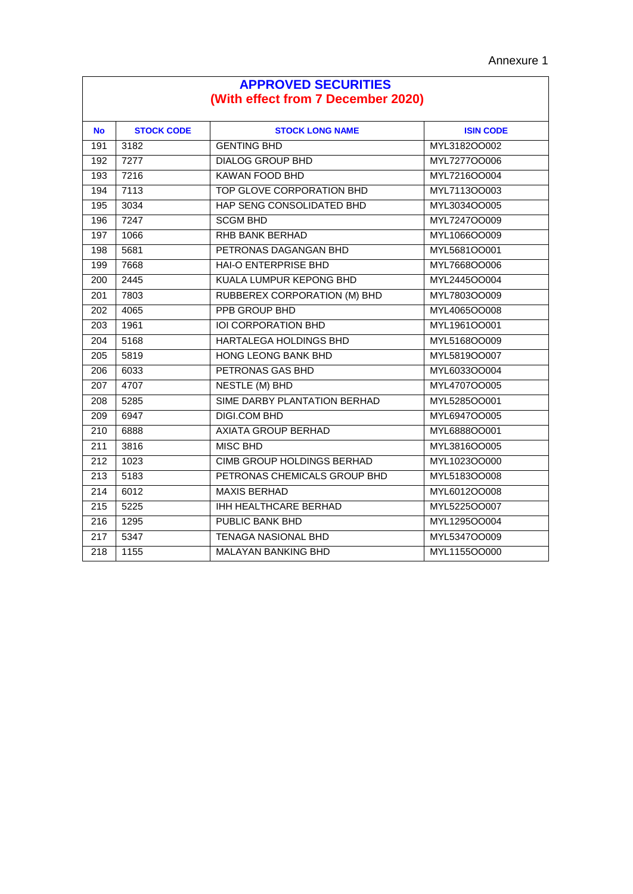| <b>APPROVED SECURITIES</b><br>(With effect from 7 December 2020) |                   |                                     |                  |
|------------------------------------------------------------------|-------------------|-------------------------------------|------------------|
| <b>No</b>                                                        | <b>STOCK CODE</b> | <b>STOCK LONG NAME</b>              | <b>ISIN CODE</b> |
| 191                                                              | 3182              | <b>GENTING BHD</b>                  | MYL3182OO002     |
| 192                                                              | 7277              | <b>DIALOG GROUP BHD</b>             | MYL727700006     |
| 193                                                              | 7216              | <b>KAWAN FOOD BHD</b>               | MYL7216OO004     |
| 194                                                              | 7113              | TOP GLOVE CORPORATION BHD           | MYL7113OO003     |
| 195                                                              | 3034              | HAP SENG CONSOLIDATED BHD           | MYL3034OO005     |
| 196                                                              | 7247              | <b>SCGM BHD</b>                     | MYL7247OO009     |
| 197                                                              | 1066              | RHB BANK BERHAD                     | MYL1066OO009     |
| 198                                                              | 5681              | PETRONAS DAGANGAN BHD               | MYL5681OO001     |
| 199                                                              | 7668              | HAI-O ENTERPRISE BHD                | MYL7668OO006     |
| 200                                                              | 2445              | KUALA LUMPUR KEPONG BHD             | MYL2445OO004     |
| 201                                                              | 7803              | <b>RUBBEREX CORPORATION (M) BHD</b> | MYL7803OO009     |
| 202                                                              | 4065              | <b>PPB GROUP BHD</b>                | MYL4065OO008     |
| 203                                                              | 1961              | <b>IOI CORPORATION BHD</b>          | MYL1961OO001     |
| 204                                                              | 5168              | <b>HARTALEGA HOLDINGS BHD</b>       | MYL5168OO009     |
| 205                                                              | 5819              | HONG LEONG BANK BHD                 | MYL5819OO007     |
| 206                                                              | 6033              | PETRONAS GAS BHD                    | MYL6033OO004     |
| 207                                                              | 4707              | <b>NESTLE (M) BHD</b>               | MYL4707OO005     |
| 208                                                              | 5285              | SIME DARBY PLANTATION BERHAD        | MYL5285OO001     |
| 209                                                              | 6947              | DIGI.COM BHD                        | MYL6947OO005     |
| $\overline{210}$                                                 | 6888              | <b>AXIATA GROUP BERHAD</b>          | MYL6888OO001     |
| 211                                                              | 3816              | <b>MISC BHD</b>                     | MYL3816OO005     |
| 212                                                              | 1023              | <b>CIMB GROUP HOLDINGS BERHAD</b>   | MYL1023OO000     |
| $\overline{213}$                                                 | 5183              | PETRONAS CHEMICALS GROUP BHD        | MYL5183OO008     |
| 214                                                              | 6012              | <b>MAXIS BERHAD</b>                 | MYL6012OO008     |
| 215                                                              | 5225              | <b>IHH HEALTHCARE BERHAD</b>        | MYL5225OO007     |
| $\overline{216}$                                                 | 1295              | <b>PUBLIC BANK BHD</b>              | MYL1295OO004     |
| 217                                                              | 5347              | <b>TENAGA NASIONAL BHD</b>          | MYL5347OO009     |
| 218                                                              | 1155              | <b>MALAYAN BANKING BHD</b>          | MYL1155OO000     |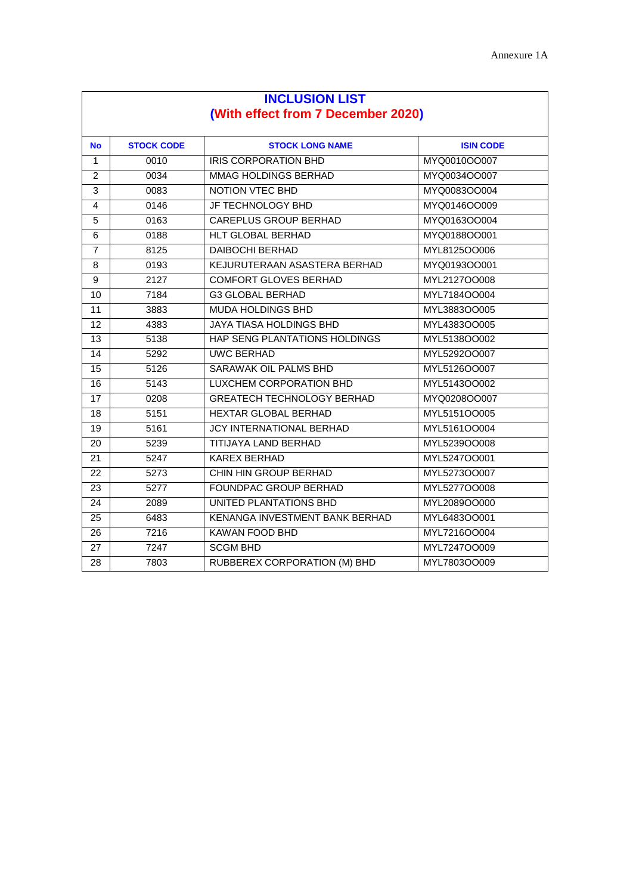| <b>INCLUSION LIST</b>              |                   |                                   |                  |  |  |
|------------------------------------|-------------------|-----------------------------------|------------------|--|--|
| (With effect from 7 December 2020) |                   |                                   |                  |  |  |
|                                    |                   |                                   |                  |  |  |
| <b>No</b>                          | <b>STOCK CODE</b> | <b>STOCK LONG NAME</b>            | <b>ISIN CODE</b> |  |  |
| 1                                  | 0010              | <b>IRIS CORPORATION BHD</b>       | MYQ0010OO007     |  |  |
| $\overline{2}$                     | 0034              | MMAG HOLDINGS BERHAD              | MYQ0034OO007     |  |  |
| 3                                  | 0083              | <b>NOTION VTEC BHD</b>            | MYQ0083OO004     |  |  |
| 4                                  | 0146              | JF TECHNOLOGY BHD                 | MYQ0146OO009     |  |  |
| 5                                  | 0163              | <b>CAREPLUS GROUP BERHAD</b>      | MYQ0163OO004     |  |  |
| 6                                  | 0188              | HLT GLOBAL BERHAD                 | MYQ0188OO001     |  |  |
| $\overline{7}$                     | 8125              | <b>DAIBOCHI BERHAD</b>            | MYL8125OO006     |  |  |
| 8                                  | 0193              | KEJURUTERAAN ASASTERA BERHAD      | MYQ0193OO001     |  |  |
| $\boldsymbol{9}$                   | 2127              | <b>COMFORT GLOVES BERHAD</b>      | MYL2127OO008     |  |  |
| 10                                 | 7184              | <b>G3 GLOBAL BERHAD</b>           | MYL7184OO004     |  |  |
| 11                                 | 3883              | <b>MUDA HOLDINGS BHD</b>          | MYL3883OO005     |  |  |
| 12                                 | 4383              | <b>JAYA TIASA HOLDINGS BHD</b>    | MYL4383OO005     |  |  |
| 13                                 | 5138              | HAP SENG PLANTATIONS HOLDINGS     | MYL5138OO002     |  |  |
| 14                                 | 5292              | <b>UWC BERHAD</b>                 | MYL5292OO007     |  |  |
| 15                                 | 5126              | SARAWAK OIL PALMS BHD             | MYL5126OO007     |  |  |
| 16                                 | 5143              | LUXCHEM CORPORATION BHD           | MYL5143OO002     |  |  |
| 17                                 | 0208              | <b>GREATECH TECHNOLOGY BERHAD</b> | MYQ0208OO007     |  |  |
| 18                                 | 5151              | HEXTAR GLOBAL BERHAD              | MYL5151OO005     |  |  |
| 19                                 | 5161              | <b>JCY INTERNATIONAL BERHAD</b>   | MYL5161OO004     |  |  |
| 20                                 | 5239              | <b>TITIJAYA LAND BERHAD</b>       | MYL5239OO008     |  |  |
| 21                                 | 5247              | <b>KAREX BERHAD</b>               | MYL5247OO001     |  |  |
| 22                                 | 5273              | CHIN HIN GROUP BERHAD             | MYL5273OO007     |  |  |
| 23                                 | 5277              | FOUNDPAC GROUP BERHAD             | MYL5277OO008     |  |  |
| 24                                 | 2089              | UNITED PLANTATIONS BHD            | MYL2089OO000     |  |  |
| 25                                 | 6483              | KENANGA INVESTMENT BANK BERHAD    | MYL6483OO001     |  |  |
| 26                                 | 7216              | KAWAN FOOD BHD                    | MYL7216OO004     |  |  |
| 27                                 | 7247              | <b>SCGM BHD</b>                   | MYL7247OO009     |  |  |
| 28                                 | 7803              | RUBBEREX CORPORATION (M) BHD      | MYL7803OO009     |  |  |